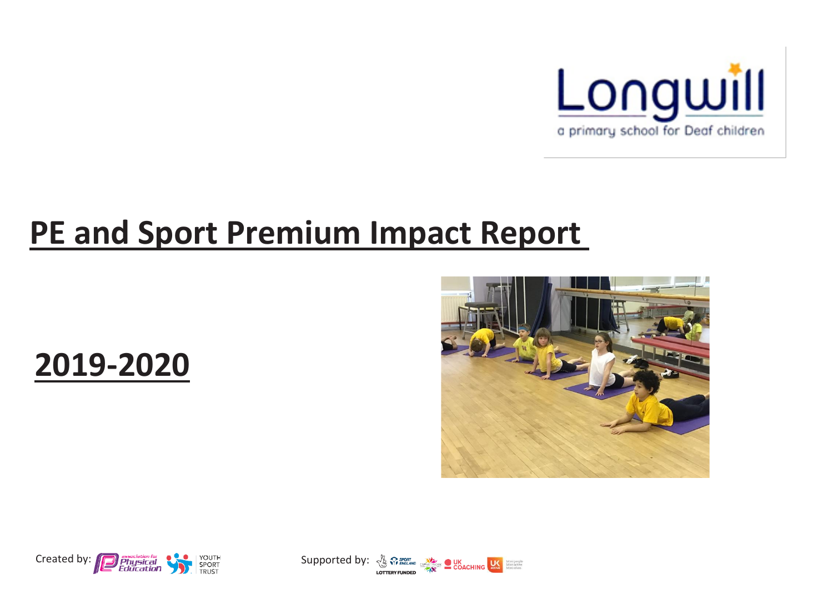

## **PE and Sport Premium Impact Report**







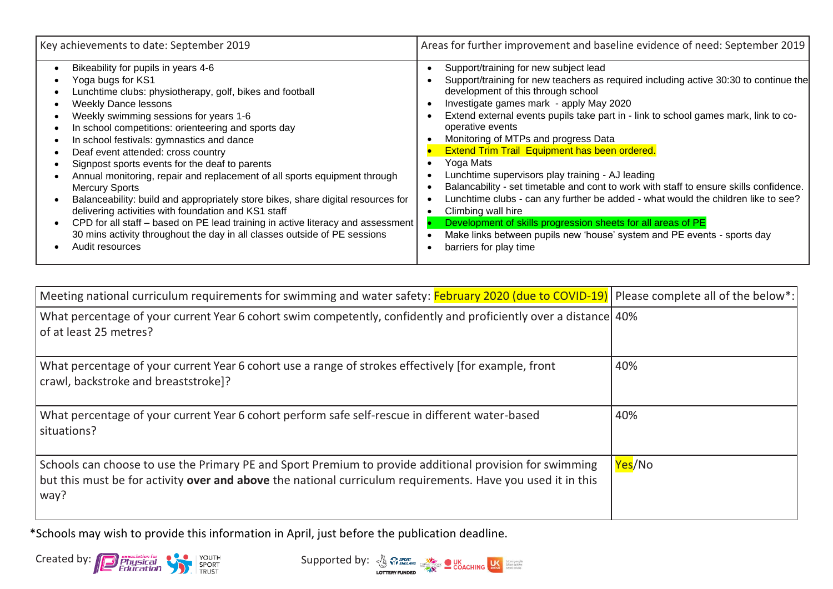| Key achievements to date: September 2019                                         | Areas for further improvement and baseline evidence of need: September 2019            |
|----------------------------------------------------------------------------------|----------------------------------------------------------------------------------------|
| Bikeability for pupils in years 4-6                                              | Support/training for new subject lead                                                  |
| Yoga bugs for KS1                                                                | Support/training for new teachers as required including active 30:30 to continue the   |
| Lunchtime clubs: physiotherapy, golf, bikes and football                         | development of this through school                                                     |
| <b>Weekly Dance lessons</b>                                                      | Investigate games mark - apply May 2020                                                |
| Weekly swimming sessions for years 1-6                                           | Extend external events pupils take part in - link to school games mark, link to co-    |
| In school competitions: orienteering and sports day                              | operative events                                                                       |
| In school festivals: gymnastics and dance                                        | Monitoring of MTPs and progress Data                                                   |
| Deaf event attended: cross country                                               | <b>Extend Trim Trail Equipment has been ordered.</b>                                   |
| Signpost sports events for the deaf to parents                                   | Yoga Mats                                                                              |
| Annual monitoring, repair and replacement of all sports equipment through        | Lunchtime supervisors play training - AJ leading                                       |
| <b>Mercury Sports</b>                                                            | Balancability - set timetable and cont to work with staff to ensure skills confidence. |
| Balanceability: build and appropriately store bikes, share digital resources for | Lunchtime clubs - can any further be added - what would the children like to see?      |
| delivering activities with foundation and KS1 staff                              | Climbing wall hire                                                                     |
| CPD for all staff – based on PE lead training in active literacy and assessment  | Development of skills progression sheets for all areas of PE                           |
| 30 mins activity throughout the day in all classes outside of PE sessions        | Make links between pupils new 'house' system and PE events - sports day                |
| Audit resources                                                                  | barriers for play time                                                                 |

| Meeting national curriculum requirements for swimming and water safety: February 2020 (due to COVID-19) Please complete all of the below*:                                                                                     |        |
|--------------------------------------------------------------------------------------------------------------------------------------------------------------------------------------------------------------------------------|--------|
| What percentage of your current Year 6 cohort swim competently, confidently and proficiently over a distance 40%<br>of at least 25 metres?                                                                                     |        |
| What percentage of your current Year 6 cohort use a range of strokes effectively [for example, front<br>crawl, backstroke and breaststroke]?                                                                                   | 40%    |
| What percentage of your current Year 6 cohort perform safe self-rescue in different water-based<br>situations?                                                                                                                 | 40%    |
| Schools can choose to use the Primary PE and Sport Premium to provide additional provision for swimming<br>but this must be for activity over and above the national curriculum requirements. Have you used it in this<br>way? | Yes/No |

\*Schools may wish to provide this information in April, just before the publication deadline.



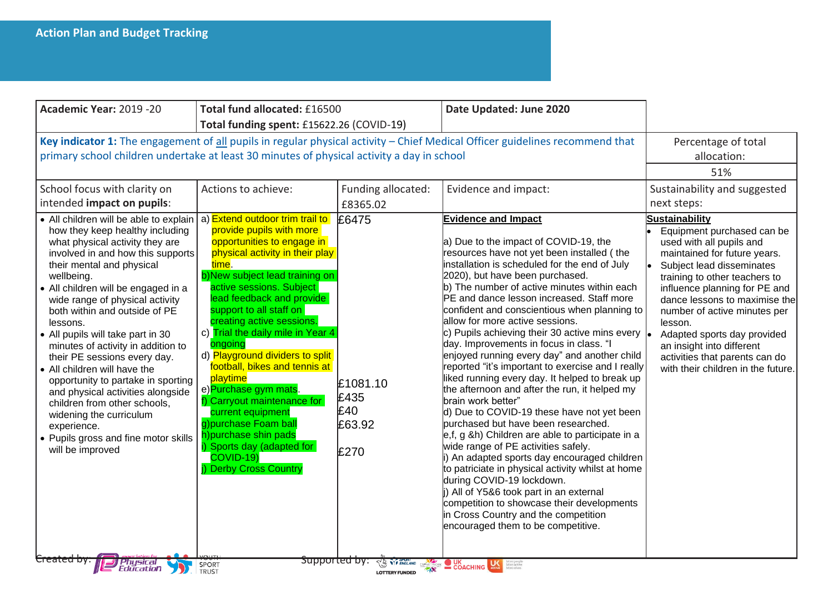| Total funding spent: £15622.26 (COVID-19)<br>Key indicator 1: The engagement of all pupils in regular physical activity - Chief Medical Officer guidelines recommend that<br>primary school children undertake at least 30 minutes of physical activity a day in school<br>Actions to achieve:<br>Evidence and impact:<br>School focus with clarity on<br>Funding allocated:<br>intended impact on pupils:<br>£8365.02<br>• All children will be able to explain (a) <b>Extend outdoor trim trail to</b><br><b>Evidence and Impact</b><br>£6475<br>provide pupils with more<br>how they keep healthy including<br>opportunities to engage in<br>a) Due to the impact of COVID-19, the<br>what physical activity they are<br>physical activity in their play<br>resources have not yet been installed (the<br>involved in and how this supports<br>installation is scheduled for the end of July<br>their mental and physical<br>time.<br>b)New subject lead training on<br>2020), but have been purchased.<br>wellbeing.<br>active sessions. Subject<br>b) The number of active minutes within each<br>• All children will be engaged in a<br>lead feedback and provide<br>PE and dance lesson increased. Staff more<br>wide range of physical activity<br>support to all staff on<br>confident and conscientious when planning to<br>both within and outside of PE<br>creating active sessions.<br>allow for more active sessions.<br>lessons.<br>c) Trial the daily mile in Year 4<br>c) Pupils achieving their 30 active mins every $\vert_{\bullet}$<br>• All pupils will take part in 30<br>day. Improvements in focus in class. "I<br>ongoing<br>minutes of activity in addition to<br>d) Playground dividers to split<br>enjoyed running every day" and another child<br>their PE sessions every day.<br>football, bikes and tennis at<br>reported "it's important to exercise and I really<br>• All children will have the<br>liked running every day. It helped to break up<br>playtime<br>opportunity to partake in sporting<br>£1081.10<br>e) Purchase gym mats.<br>the afternoon and after the run, it helped my<br>and physical activities alongside<br>£435<br>f) Carryout maintenance for<br>brain work better"<br>children from other schools,<br>£40<br>current equipment<br>d) Due to COVID-19 these have not yet been<br>widening the curriculum<br>g) purchase Foam ball<br>purchased but have been researched.<br>£63.92<br>experience.<br>h)purchase shin pads<br>e,f, g &h) Children are able to participate in a<br>• Pupils gross and fine motor skills<br>wide range of PE activities safely.<br>i) Sports day (adapted for<br>will be improved<br>£270<br>COVID-19)<br>i) An adapted sports day encouraged children<br><b>Derby Cross Country</b><br>to patriciate in physical activity whilst at home<br>during COVID-19 lockdown.<br>j) All of Y5&6 took part in an external<br>competition to showcase their developments | Academic Year: 2019 -20 | Total fund allocated: £16500 |  | Date Updated: June 2020 |                                                                                                                                                                                                                                                                                                                                                                                                                                  |
|---------------------------------------------------------------------------------------------------------------------------------------------------------------------------------------------------------------------------------------------------------------------------------------------------------------------------------------------------------------------------------------------------------------------------------------------------------------------------------------------------------------------------------------------------------------------------------------------------------------------------------------------------------------------------------------------------------------------------------------------------------------------------------------------------------------------------------------------------------------------------------------------------------------------------------------------------------------------------------------------------------------------------------------------------------------------------------------------------------------------------------------------------------------------------------------------------------------------------------------------------------------------------------------------------------------------------------------------------------------------------------------------------------------------------------------------------------------------------------------------------------------------------------------------------------------------------------------------------------------------------------------------------------------------------------------------------------------------------------------------------------------------------------------------------------------------------------------------------------------------------------------------------------------------------------------------------------------------------------------------------------------------------------------------------------------------------------------------------------------------------------------------------------------------------------------------------------------------------------------------------------------------------------------------------------------------------------------------------------------------------------------------------------------------------------------------------------------------------------------------------------------------------------------------------------------------------------------------------------------------------------------------------------------------------------------------------------------------------------------------------------------------------------------------------------------------------------------------------------------------------------------------------------------------------------------------------------|-------------------------|------------------------------|--|-------------------------|----------------------------------------------------------------------------------------------------------------------------------------------------------------------------------------------------------------------------------------------------------------------------------------------------------------------------------------------------------------------------------------------------------------------------------|
|                                                                                                                                                                                                                                                                                                                                                                                                                                                                                                                                                                                                                                                                                                                                                                                                                                                                                                                                                                                                                                                                                                                                                                                                                                                                                                                                                                                                                                                                                                                                                                                                                                                                                                                                                                                                                                                                                                                                                                                                                                                                                                                                                                                                                                                                                                                                                                                                                                                                                                                                                                                                                                                                                                                                                                                                                                                                                                                                                         |                         |                              |  |                         |                                                                                                                                                                                                                                                                                                                                                                                                                                  |
|                                                                                                                                                                                                                                                                                                                                                                                                                                                                                                                                                                                                                                                                                                                                                                                                                                                                                                                                                                                                                                                                                                                                                                                                                                                                                                                                                                                                                                                                                                                                                                                                                                                                                                                                                                                                                                                                                                                                                                                                                                                                                                                                                                                                                                                                                                                                                                                                                                                                                                                                                                                                                                                                                                                                                                                                                                                                                                                                                         |                         |                              |  |                         | Percentage of total<br>allocation:<br>51%                                                                                                                                                                                                                                                                                                                                                                                        |
|                                                                                                                                                                                                                                                                                                                                                                                                                                                                                                                                                                                                                                                                                                                                                                                                                                                                                                                                                                                                                                                                                                                                                                                                                                                                                                                                                                                                                                                                                                                                                                                                                                                                                                                                                                                                                                                                                                                                                                                                                                                                                                                                                                                                                                                                                                                                                                                                                                                                                                                                                                                                                                                                                                                                                                                                                                                                                                                                                         |                         |                              |  |                         | Sustainability and suggested                                                                                                                                                                                                                                                                                                                                                                                                     |
|                                                                                                                                                                                                                                                                                                                                                                                                                                                                                                                                                                                                                                                                                                                                                                                                                                                                                                                                                                                                                                                                                                                                                                                                                                                                                                                                                                                                                                                                                                                                                                                                                                                                                                                                                                                                                                                                                                                                                                                                                                                                                                                                                                                                                                                                                                                                                                                                                                                                                                                                                                                                                                                                                                                                                                                                                                                                                                                                                         |                         |                              |  |                         | next steps:                                                                                                                                                                                                                                                                                                                                                                                                                      |
| in Cross Country and the competition<br>encouraged them to be competitive.<br>Created by:<br><del>Supported by:</del><br><b>Physical</b><br>Education<br><b>TAN WEIGHAND CSPINDWORK COACHING WEING MORE DESCRIPTION OF A SCREENING WEIGHT DESCRIPTION OF A DESCRIPTION OF A DESCRIPTION OF A DESCRIPTION OF A DESCRIPTION OF A DESCRIPTION OF A DESCRIPTION OF A DESCRIPTION OF A DESCRIP</b><br>SPORT                                                                                                                                                                                                                                                                                                                                                                                                                                                                                                                                                                                                                                                                                                                                                                                                                                                                                                                                                                                                                                                                                                                                                                                                                                                                                                                                                                                                                                                                                                                                                                                                                                                                                                                                                                                                                                                                                                                                                                                                                                                                                                                                                                                                                                                                                                                                                                                                                                                                                                                                                  |                         |                              |  |                         | <b>Sustainability</b><br>Equipment purchased can be<br>used with all pupils and<br>maintained for future years.<br>• Subject lead disseminates<br>training to other teachers to<br>influence planning for PE and<br>dance lessons to maximise the<br>number of active minutes per<br>lesson.<br>Adapted sports day provided<br>an insight into different<br>activities that parents can do<br>with their children in the future. |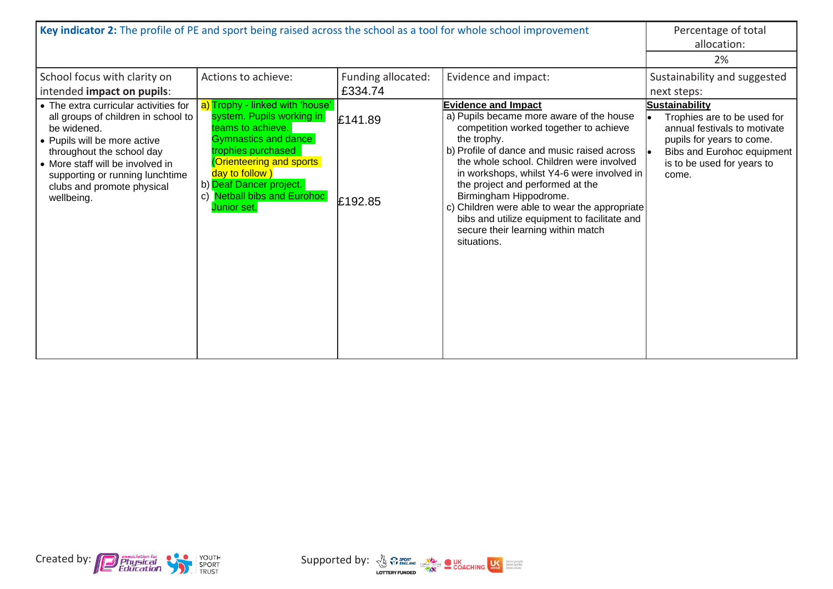| Key indicator 2: The profile of PE and sport being raised across the school as a tool for whole school improvement                                                                                                                                                          |                                                                                                                                                                                                                                                        |                               |                                                                                                                                                                                                                                                                                                                                                                                                                                                                                              | Percentage of total<br>allocation:                                                                                                                                                     |
|-----------------------------------------------------------------------------------------------------------------------------------------------------------------------------------------------------------------------------------------------------------------------------|--------------------------------------------------------------------------------------------------------------------------------------------------------------------------------------------------------------------------------------------------------|-------------------------------|----------------------------------------------------------------------------------------------------------------------------------------------------------------------------------------------------------------------------------------------------------------------------------------------------------------------------------------------------------------------------------------------------------------------------------------------------------------------------------------------|----------------------------------------------------------------------------------------------------------------------------------------------------------------------------------------|
|                                                                                                                                                                                                                                                                             |                                                                                                                                                                                                                                                        |                               |                                                                                                                                                                                                                                                                                                                                                                                                                                                                                              | 2%                                                                                                                                                                                     |
| School focus with clarity on<br>intended impact on pupils:                                                                                                                                                                                                                  | Actions to achieve:                                                                                                                                                                                                                                    | Funding allocated:<br>£334.74 | Evidence and impact:                                                                                                                                                                                                                                                                                                                                                                                                                                                                         | Sustainability and suggested<br>next steps:                                                                                                                                            |
| • The extra curricular activities for<br>all groups of children in school to<br>be widened.<br>• Pupils will be more active<br>throughout the school day<br>• More staff will be involved in<br>supporting or running lunchtime<br>clubs and promote physical<br>wellbeing. | a) Trophy - linked with 'house'<br>system. Pupils working in<br>teams to achieve. I<br>Gymnastics and dance<br>rophies purchased<br>Orienteering and sports<br>day to follow)<br>b) Deaf Dancer project.<br>c) Netball bibs and Eurohoc<br>Junior set. | £141.89<br>£192.85            | <b>Evidence and Impact</b><br>a) Pupils became more aware of the house<br>competition worked together to achieve<br>the trophy.<br>b) Profile of dance and music raised across<br>the whole school. Children were involved<br>in workshops, whilst Y4-6 were involved in<br>the project and performed at the<br>Birmingham Hippodrome.<br>c) Children were able to wear the appropriate<br>bibs and utilize equipment to facilitate and<br>secure their learning within match<br>situations. | <b>Sustainability</b><br>Trophies are to be used for<br>annual festivals to motivate<br>pupils for years to come.<br>Bibs and Eurohoc equipment<br>is to be used for years to<br>come. |



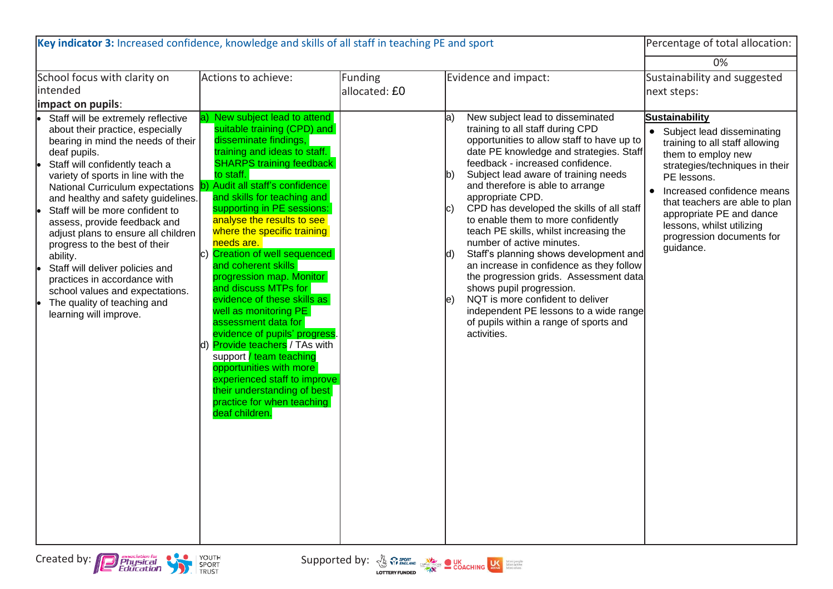| Key indicator 3: Increased confidence, knowledge and skills of all staff in teaching PE and sport                                                                                                                                                                                                                                                                                                                                                                                                                                                                                                    |                                                                                                                                                                                                                                                                                                                                                                                                                                                                                                                                                                                                                                                                                                                                                                                       |                          | Percentage of total allocation:                                                                                                                                                                                                                                                                                                                                                                                                                                                                                                                                                                                                                                                                                                                                                                   |                                                                                                                                                                                                                                                                                                                                                |
|------------------------------------------------------------------------------------------------------------------------------------------------------------------------------------------------------------------------------------------------------------------------------------------------------------------------------------------------------------------------------------------------------------------------------------------------------------------------------------------------------------------------------------------------------------------------------------------------------|---------------------------------------------------------------------------------------------------------------------------------------------------------------------------------------------------------------------------------------------------------------------------------------------------------------------------------------------------------------------------------------------------------------------------------------------------------------------------------------------------------------------------------------------------------------------------------------------------------------------------------------------------------------------------------------------------------------------------------------------------------------------------------------|--------------------------|---------------------------------------------------------------------------------------------------------------------------------------------------------------------------------------------------------------------------------------------------------------------------------------------------------------------------------------------------------------------------------------------------------------------------------------------------------------------------------------------------------------------------------------------------------------------------------------------------------------------------------------------------------------------------------------------------------------------------------------------------------------------------------------------------|------------------------------------------------------------------------------------------------------------------------------------------------------------------------------------------------------------------------------------------------------------------------------------------------------------------------------------------------|
|                                                                                                                                                                                                                                                                                                                                                                                                                                                                                                                                                                                                      |                                                                                                                                                                                                                                                                                                                                                                                                                                                                                                                                                                                                                                                                                                                                                                                       |                          |                                                                                                                                                                                                                                                                                                                                                                                                                                                                                                                                                                                                                                                                                                                                                                                                   | 0%                                                                                                                                                                                                                                                                                                                                             |
| School focus with clarity on<br>intended<br>impact on pupils:                                                                                                                                                                                                                                                                                                                                                                                                                                                                                                                                        | Actions to achieve:                                                                                                                                                                                                                                                                                                                                                                                                                                                                                                                                                                                                                                                                                                                                                                   | Funding<br>allocated: £0 | Evidence and impact:                                                                                                                                                                                                                                                                                                                                                                                                                                                                                                                                                                                                                                                                                                                                                                              | Sustainability and suggested<br>next steps:                                                                                                                                                                                                                                                                                                    |
| Staff will be extremely reflective<br>about their practice, especially<br>bearing in mind the needs of their<br>deaf pupils.<br>Staff will confidently teach a<br>variety of sports in line with the<br>National Curriculum expectations<br>and healthy and safety guidelines.<br>Staff will be more confident to<br>assess, provide feedback and<br>adjust plans to ensure all children<br>progress to the best of their<br>ability.<br>Staff will deliver policies and<br>practices in accordance with<br>school values and expectations.<br>The quality of teaching and<br>learning will improve. | New subject lead to attend<br>suitable training (CPD) and<br>disseminate findings,<br>training and ideas to staff.<br><b>SHARPS training feedback</b><br>to staff.<br>Audit all staff's confidence<br>and skills for teaching and<br>supporting in PE sessions:<br>analyse the results to see<br>where the specific training<br>needs are.<br>Creation of well sequenced<br>Ic)<br>and coherent skills<br>progression map. Monitor<br>and discuss MTPs for<br>evidence of these skills as<br>well as monitoring PE<br>assessment data for<br>evidence of pupils' progress.<br><b>Provide teachers</b> / TAs with<br>support / team teaching<br>opportunities with more<br>experienced staff to improve<br>their understanding of best<br>practice for when teaching<br>deaf children. |                          | New subject lead to disseminated<br>la)<br>training to all staff during CPD<br>opportunities to allow staff to have up to<br>date PE knowledge and strategies. Staff<br>feedback - increased confidence.<br>Subject lead aware of training needs<br>lb`<br>and therefore is able to arrange<br>appropriate CPD.<br>CPD has developed the skills of all staff<br>Ic)<br>to enable them to more confidently<br>teach PE skills, whilst increasing the<br>number of active minutes.<br>Staff's planning shows development and<br>ld)<br>an increase in confidence as they follow<br>the progression grids. Assessment data<br>shows pupil progression.<br>NQT is more confident to deliver<br>le)<br>independent PE lessons to a wide range<br>of pupils within a range of sports and<br>activities. | <b>Sustainability</b><br>• Subject lead disseminating<br>training to all staff allowing<br>them to employ new<br>strategies/techniques in their<br>PE lessons.<br>Increased confidence means<br>$\bullet$<br>that teachers are able to plan<br>appropriate PE and dance<br>lessons, whilst utilizing<br>progression documents for<br>guidance. |



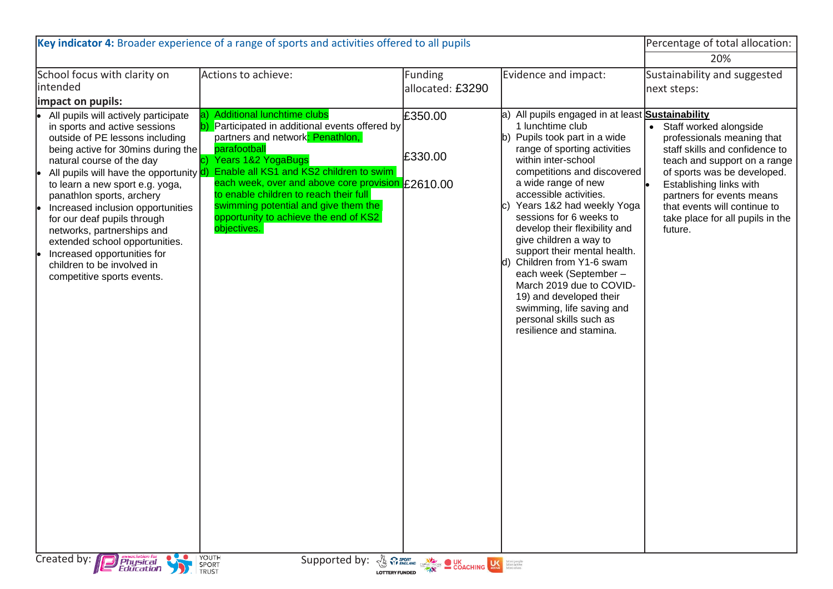| Key indicator 4: Broader experience of a range of sports and activities offered to all pupils                                                                                                                                                                                                                                                                                                                                                                                                                                      | Percentage of total allocation:                                                                                                                                                                                                                                                                                                                                                                              |                                                                                                                                                                                                                                      |                                                                                                                                                                                                                                                                                                                                                                                                                                                                                                                                                                                                                 |                                                                                                                                                                                                                                                                                                |
|------------------------------------------------------------------------------------------------------------------------------------------------------------------------------------------------------------------------------------------------------------------------------------------------------------------------------------------------------------------------------------------------------------------------------------------------------------------------------------------------------------------------------------|--------------------------------------------------------------------------------------------------------------------------------------------------------------------------------------------------------------------------------------------------------------------------------------------------------------------------------------------------------------------------------------------------------------|--------------------------------------------------------------------------------------------------------------------------------------------------------------------------------------------------------------------------------------|-----------------------------------------------------------------------------------------------------------------------------------------------------------------------------------------------------------------------------------------------------------------------------------------------------------------------------------------------------------------------------------------------------------------------------------------------------------------------------------------------------------------------------------------------------------------------------------------------------------------|------------------------------------------------------------------------------------------------------------------------------------------------------------------------------------------------------------------------------------------------------------------------------------------------|
|                                                                                                                                                                                                                                                                                                                                                                                                                                                                                                                                    |                                                                                                                                                                                                                                                                                                                                                                                                              | 20%                                                                                                                                                                                                                                  |                                                                                                                                                                                                                                                                                                                                                                                                                                                                                                                                                                                                                 |                                                                                                                                                                                                                                                                                                |
| School focus with clarity on<br>intended<br>impact on pupils:                                                                                                                                                                                                                                                                                                                                                                                                                                                                      | Actions to achieve:                                                                                                                                                                                                                                                                                                                                                                                          | Funding<br>allocated: £3290                                                                                                                                                                                                          | Evidence and impact:                                                                                                                                                                                                                                                                                                                                                                                                                                                                                                                                                                                            | Sustainability and suggested<br>next steps:                                                                                                                                                                                                                                                    |
| All pupils will actively participate<br>in sports and active sessions<br>outside of PE lessons including<br>being active for 30mins during the<br>natural course of the day<br>All pupils will have the opportunity $\vert d \vert$<br>to learn a new sport e.g. yoga,<br>panathlon sports, archery<br>Increased inclusion opportunities<br>for our deaf pupils through<br>networks, partnerships and<br>extended school opportunities.<br>Increased opportunities for<br>children to be involved in<br>competitive sports events. | <b>Additional lunchtime clubs</b><br>Participated in additional events offered by<br>lb)<br>partners and network: Penathlon,<br>parafootball<br>Years 1&2 YogaBugs<br>Enable all KS1 and KS2 children to swim<br>each week, over and above core provision £2610.00<br>to enable children to reach their full<br>swimming potential and give them the<br>opportunity to achieve the end of KS2<br>objectives. | £350.00<br>£330.00                                                                                                                                                                                                                   | a) All pupils engaged in at least <b>Sustainability</b><br>1 lunchtime club<br>b) Pupils took part in a wide<br>range of sporting activities<br>within inter-school<br>competitions and discovered<br>a wide range of new<br>accessible activities.<br>Years 1&2 had weekly Yoga<br>IC)<br>sessions for 6 weeks to<br>develop their flexibility and<br>give children a way to<br>support their mental health.<br>d) Children from Y1-6 swam<br>each week (September -<br>March 2019 due to COVID-<br>19) and developed their<br>swimming, life saving and<br>personal skills such as<br>resilience and stamina. | • Staff worked alongside<br>professionals meaning that<br>staff skills and confidence to<br>teach and support on a range<br>of sports was be developed.<br>Establishing links with<br>partners for events means<br>that events will continue to<br>take place for all pupils in the<br>future. |
| Created by: <b>D</b> Physical                                                                                                                                                                                                                                                                                                                                                                                                                                                                                                      | YOUTH<br>SPORT<br>TRUST<br>Supported by:                                                                                                                                                                                                                                                                                                                                                                     | <b>THE SPORT OF COLOR WAY AND COLOR COLOR COLOR COLOR COLOR COLOR COLOR COLOR COLOR COLOR COLOR COLOR COLOR COLOR COLOR COLOR COLOR COLOR COLOR COLOR COLOR COLOR COLOR COLOR COLOR COLOR COLOR COLOR COLOR COLOR COLOR COLOR CO</b> |                                                                                                                                                                                                                                                                                                                                                                                                                                                                                                                                                                                                                 |                                                                                                                                                                                                                                                                                                |